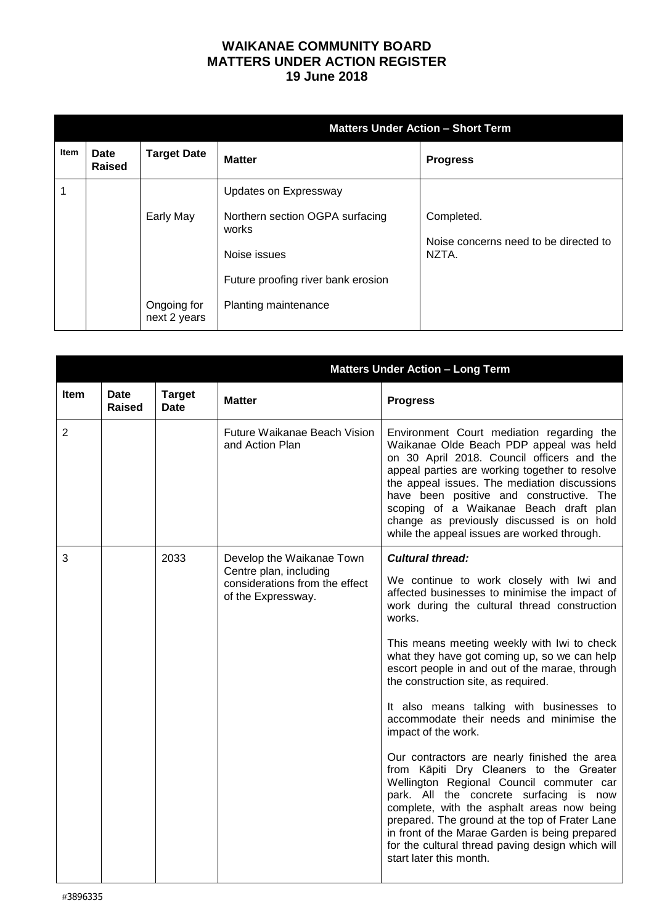## **WAIKANAE COMMUNITY BOARD MATTERS UNDER ACTION REGISTER 19 June 2018**

|      |                       |                                          | <b>Matters Under Action - Short Term</b>                                                                                                        |                                                              |  |
|------|-----------------------|------------------------------------------|-------------------------------------------------------------------------------------------------------------------------------------------------|--------------------------------------------------------------|--|
| Item | <b>Date</b><br>Raised | <b>Target Date</b>                       | <b>Matter</b>                                                                                                                                   | <b>Progress</b>                                              |  |
|      |                       | Early May<br>Ongoing for<br>next 2 years | Updates on Expressway<br>Northern section OGPA surfacing<br>works<br>Noise issues<br>Future proofing river bank erosion<br>Planting maintenance | Completed.<br>Noise concerns need to be directed to<br>NZTA. |  |

|                | <b>Matters Under Action - Long Term</b> |                              |                                                                                |                                                                                                                                                                                                                                                                                                                                                                                                                        |
|----------------|-----------------------------------------|------------------------------|--------------------------------------------------------------------------------|------------------------------------------------------------------------------------------------------------------------------------------------------------------------------------------------------------------------------------------------------------------------------------------------------------------------------------------------------------------------------------------------------------------------|
| <b>Item</b>    | <b>Date</b><br>Raised                   | <b>Target</b><br><b>Date</b> | <b>Matter</b>                                                                  | <b>Progress</b>                                                                                                                                                                                                                                                                                                                                                                                                        |
| $\overline{2}$ |                                         |                              | Future Waikanae Beach Vision<br>and Action Plan                                | Environment Court mediation regarding the<br>Waikanae Olde Beach PDP appeal was held<br>on 30 April 2018. Council officers and the<br>appeal parties are working together to resolve<br>the appeal issues. The mediation discussions<br>have been positive and constructive. The<br>scoping of a Waikanae Beach draft plan<br>change as previously discussed is on hold<br>while the appeal issues are worked through. |
| 3              |                                         | 2033                         | Develop the Waikanae Town                                                      | <b>Cultural thread:</b>                                                                                                                                                                                                                                                                                                                                                                                                |
|                |                                         |                              | Centre plan, including<br>considerations from the effect<br>of the Expressway. | We continue to work closely with Iwi and<br>affected businesses to minimise the impact of<br>work during the cultural thread construction<br>works.                                                                                                                                                                                                                                                                    |
|                |                                         |                              |                                                                                | This means meeting weekly with Iwi to check<br>what they have got coming up, so we can help<br>escort people in and out of the marae, through<br>the construction site, as required.                                                                                                                                                                                                                                   |
|                |                                         |                              |                                                                                | It also means talking with businesses to<br>accommodate their needs and minimise the<br>impact of the work.                                                                                                                                                                                                                                                                                                            |
|                |                                         |                              |                                                                                | Our contractors are nearly finished the area<br>from Kāpiti Dry Cleaners to the Greater<br>Wellington Regional Council commuter car<br>park. All the concrete surfacing is now<br>complete, with the asphalt areas now being<br>prepared. The ground at the top of Frater Lane<br>in front of the Marae Garden is being prepared<br>for the cultural thread paving design which will<br>start later this month.        |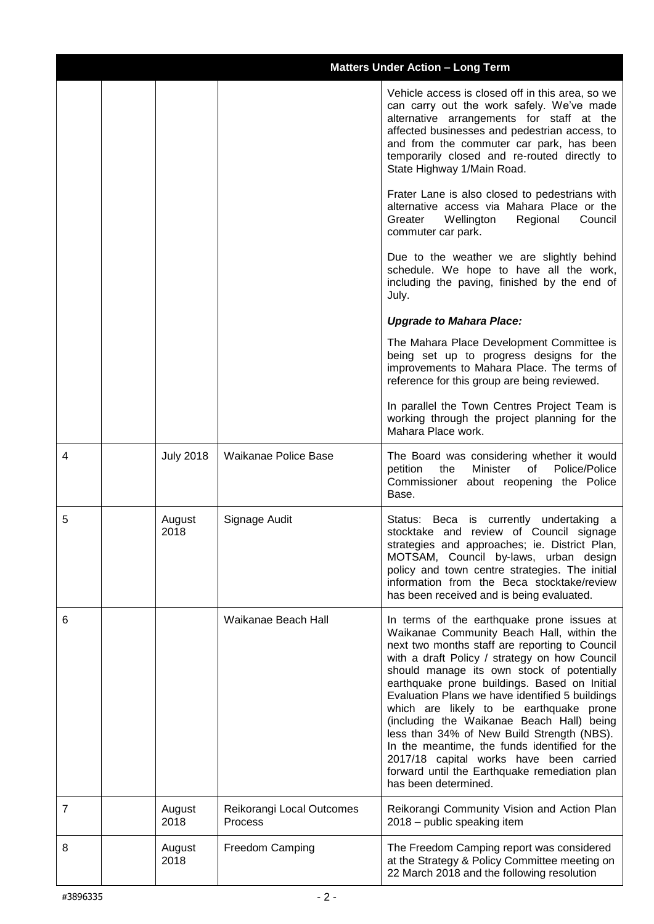|   | <b>Matters Under Action - Long Term</b> |                  |                                      |                                                                                                                                                                                                                                                                                                                                                                                                                                                                                                                                                                                                                                                        |
|---|-----------------------------------------|------------------|--------------------------------------|--------------------------------------------------------------------------------------------------------------------------------------------------------------------------------------------------------------------------------------------------------------------------------------------------------------------------------------------------------------------------------------------------------------------------------------------------------------------------------------------------------------------------------------------------------------------------------------------------------------------------------------------------------|
|   |                                         |                  |                                      | Vehicle access is closed off in this area, so we<br>can carry out the work safely. We've made<br>alternative arrangements for staff at the<br>affected businesses and pedestrian access, to<br>and from the commuter car park, has been<br>temporarily closed and re-routed directly to<br>State Highway 1/Main Road.                                                                                                                                                                                                                                                                                                                                  |
|   |                                         |                  |                                      | Frater Lane is also closed to pedestrians with<br>alternative access via Mahara Place or the<br>Greater<br>Wellington<br>Regional<br>Council<br>commuter car park.                                                                                                                                                                                                                                                                                                                                                                                                                                                                                     |
|   |                                         |                  |                                      | Due to the weather we are slightly behind<br>schedule. We hope to have all the work,<br>including the paving, finished by the end of<br>July.                                                                                                                                                                                                                                                                                                                                                                                                                                                                                                          |
|   |                                         |                  |                                      | <b>Upgrade to Mahara Place:</b>                                                                                                                                                                                                                                                                                                                                                                                                                                                                                                                                                                                                                        |
|   |                                         |                  |                                      | The Mahara Place Development Committee is<br>being set up to progress designs for the<br>improvements to Mahara Place. The terms of<br>reference for this group are being reviewed.                                                                                                                                                                                                                                                                                                                                                                                                                                                                    |
|   |                                         |                  |                                      | In parallel the Town Centres Project Team is<br>working through the project planning for the<br>Mahara Place work.                                                                                                                                                                                                                                                                                                                                                                                                                                                                                                                                     |
| 4 |                                         | <b>July 2018</b> | Waikanae Police Base                 | The Board was considering whether it would<br>petition<br>the<br>Minister<br>of<br>Police/Police<br>Commissioner about reopening the Police<br>Base.                                                                                                                                                                                                                                                                                                                                                                                                                                                                                                   |
| 5 |                                         | August<br>2018   | Signage Audit                        | Status: Beca is currently undertaking a<br>stocktake and review of Council signage<br>strategies and approaches; ie. District Plan,<br>MOTSAM, Council by-laws, urban design<br>policy and town centre strategies. The initial<br>information from the Beca stocktake/review<br>has been received and is being evaluated.                                                                                                                                                                                                                                                                                                                              |
| 6 |                                         |                  | Waikanae Beach Hall                  | In terms of the earthquake prone issues at<br>Waikanae Community Beach Hall, within the<br>next two months staff are reporting to Council<br>with a draft Policy / strategy on how Council<br>should manage its own stock of potentially<br>earthquake prone buildings. Based on Initial<br>Evaluation Plans we have identified 5 buildings<br>which are likely to be earthquake prone<br>(including the Waikanae Beach Hall) being<br>less than 34% of New Build Strength (NBS).<br>In the meantime, the funds identified for the<br>2017/18 capital works have been carried<br>forward until the Earthquake remediation plan<br>has been determined. |
| 7 |                                         | August<br>2018   | Reikorangi Local Outcomes<br>Process | Reikorangi Community Vision and Action Plan<br>2018 - public speaking item                                                                                                                                                                                                                                                                                                                                                                                                                                                                                                                                                                             |
| 8 |                                         | August<br>2018   | Freedom Camping                      | The Freedom Camping report was considered<br>at the Strategy & Policy Committee meeting on<br>22 March 2018 and the following resolution                                                                                                                                                                                                                                                                                                                                                                                                                                                                                                               |